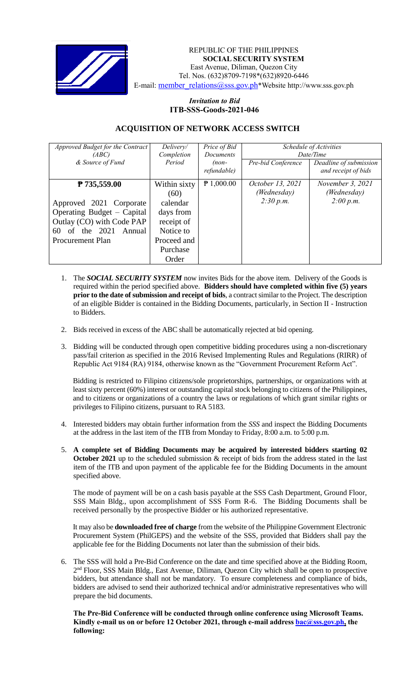

 *Invitation to Bid* REPUBLIC OF THE PHILIPPINES **SOCIAL SECURITY SYSTEM** East Avenue, Diliman, Quezon City Tel. Nos. (632)8709-7198\*(632)8920-6446 E-mail: [member\\_relations@sss.gov.ph](mailto:member_relations@sss.gov.ph)\*Website http://www.sss.gov.ph

## *Invitation to Bid*  **ITB-SSS-Goods-2021-046**

## **ACQUISITION OF NETWORK ACCESS SWITCH**

| Approved Budget for the Contract<br>(ABC) | Delivery/<br>Completion | Price of Bid<br><b>Documents</b> | Schedule of Activities<br>Date/Time |                                               |
|-------------------------------------------|-------------------------|----------------------------------|-------------------------------------|-----------------------------------------------|
| & Source of Fund                          | Period                  | $(non-$<br>refundable)           | Pre-bid Conference                  | Deadline of submission<br>and receipt of bids |
| ₱ 735,559.00                              | Within sixty<br>(60)    | $P$ 1,000.00                     | October 13, 2021<br>(Wednesday)     | November 3, 2021<br>(Wednesday)               |
| Approved 2021 Corporate                   | calendar                |                                  | 2:30 p.m.                           | 2:00 p.m.                                     |
| Operating Budget – Capital                | days from               |                                  |                                     |                                               |
| Outlay (CO) with Code PAP                 | receipt of              |                                  |                                     |                                               |
| of the $2021$<br>Annual<br>60             | Notice to               |                                  |                                     |                                               |
| <b>Procurement Plan</b>                   | Proceed and             |                                  |                                     |                                               |
|                                           | Purchase                |                                  |                                     |                                               |
|                                           | Order                   |                                  |                                     |                                               |

- 1. The *SOCIAL SECURITY SYSTEM* now invites Bids for the above item. Delivery of the Goods is required within the period specified above. **Bidders should have completed within five (5) years prior to the date of submission and receipt of bids**, a contract similar to the Project. The description of an eligible Bidder is contained in the Bidding Documents, particularly, in Section II - Instruction to Bidders.
- 2. Bids received in excess of the ABC shall be automatically rejected at bid opening.
- 3. Bidding will be conducted through open competitive bidding procedures using a non-discretionary pass/fail criterion as specified in the 2016 Revised Implementing Rules and Regulations (RIRR) of Republic Act 9184 (RA) 9184, otherwise known as the "Government Procurement Reform Act".

Bidding is restricted to Filipino citizens/sole proprietorships, partnerships, or organizations with at least sixty percent (60%) interest or outstanding capital stock belonging to citizens of the Philippines, and to citizens or organizations of a country the laws or regulations of which grant similar rights or privileges to Filipino citizens, pursuant to RA 5183.

- 4. Interested bidders may obtain further information from the *SSS* and inspect the Bidding Documents at the address in the last item of the ITB from Monday to Friday, 8:00 a.m. to 5:00 p.m.
- 5. **A complete set of Bidding Documents may be acquired by interested bidders starting 02 October 2021** up to the scheduled submission & receipt of bids from the address stated in the last item of the ITB and upon payment of the applicable fee for the Bidding Documents in the amount specified above.

The mode of payment will be on a cash basis payable at the SSS Cash Department, Ground Floor, SSS Main Bldg., upon accomplishment of SSS Form R-6. The Bidding Documents shall be received personally by the prospective Bidder or his authorized representative.

It may also be **downloaded free of charge** from the website of the Philippine Government Electronic Procurement System (PhilGEPS) and the website of the SSS*,* provided that Bidders shall pay the applicable fee for the Bidding Documents not later than the submission of their bids.

6. The SSS will hold a Pre-Bid Conference on the date and time specified above at the Bidding Room, 2<sup>nd</sup> Floor, SSS Main Bldg., East Avenue, Diliman, Quezon City which shall be open to prospective bidders, but attendance shall not be mandatory. To ensure completeness and compliance of bids, bidders are advised to send their authorized technical and/or administrative representatives who will prepare the bid documents.

**The Pre-Bid Conference will be conducted through online conference using Microsoft Teams. Kindly e-mail us on or before 12 October 2021, through e-mail address [bac@sss.gov.ph,](mailto:bac@sss.gov.ph) the following:**